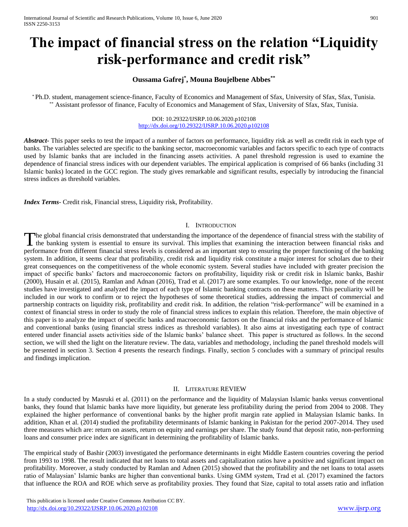# **The impact of financial stress on the relation "Liquidity risk-performance and credit risk"**

## **Oussama Gafrej\* , Mouna Boujelbene Abbes\*\***

\* Ph.D. student, management science-finance, Faculty of Economics and Management of Sfax, University of Sfax, Sfax, Tunisia. \*\* Assistant professor of finance, Faculty of Economics and Management of Sfax, University of Sfax, Sfax, Tunisia.

> DOI: 10.29322/IJSRP.10.06.2020.p102108 <http://dx.doi.org/10.29322/IJSRP.10.06.2020.p102108>

*Abstract***-** This paper seeks to test the impact of a number of factors on performance, liquidity risk as well as credit risk in each type of banks. The variables selected are specific to the banking sector, macroeconomic variables and factors specific to each type of contracts used by Islamic banks that are included in the financing assets activities. A panel threshold regression is used to examine the dependence of financial stress indices with our dependent variables. The empirical application is comprised of 66 banks (including 31 Islamic banks) located in the GCC region. The study gives remarkable and significant results, especially by introducing the financial stress indices as threshold variables.

*Index Terms*- Credit risk, Financial stress, Liquidity risk, Profitability.

#### I. INTRODUCTION

he global financial crisis demonstrated that understanding the importance of the dependence of financial stress with the stability of The global financial crisis demonstrated that understanding the importance of the dependence of financial stress with the stability of the banking system is essential to ensure its survival. This implies that examining the performance from different financial stress levels is considered as an important step to ensuring the proper functioning of the banking system. In addition, it seems clear that profitability, credit risk and liquidity risk constitute a major interest for scholars due to their great consequences on the competitiveness of the whole economic system. Several studies have included with greater precision the impact of specific banks' factors and macroeconomic factors on profitability, liquidity risk or credit risk in Islamic banks, Bashir (2000), Husain et al. (2015), Ramlan and Adnan (2016), Trad et al. (2017) are some examples. To our knowledge, none of the recent studies have investigated and analyzed the impact of each type of Islamic banking contracts on these matters. This peculiarity will be included in our work to confirm or to reject the hypotheses of some theoretical studies, addressing the impact of commercial and partnership contracts on liquidity risk, profitability and credit risk. In addition, the relation "risk-performance" will be examined in a context of financial stress in order to study the role of financial stress indices to explain this relation. Therefore, the main objective of this paper is to analyze the impact of specific banks and macroeconomic factors on the financial risks and the performance of Islamic and conventional banks (using financial stress indices as threshold variables). It also aims at investigating each type of contract entered under financial assets activities side of the Islamic banks' balance sheet. This paper is structured as follows. In the second section, we will shed the light on the literature review. The data, variables and methodology, including the panel threshold models will be presented in section 3. Section 4 presents the research findings. Finally, section 5 concludes with a summary of principal results and findings implication.

## II. LITERATURE REVIEW

In a study conducted by Masruki et al. (2011) on the performance and the liquidity of Malaysian Islamic banks versus conventional banks, they found that Islamic banks have more liquidity, but generate less profitability during the period from 2004 to 2008. They explained the higher performance of conventional banks by the higher profit margin rate applied in Malaysian Islamic banks. In addition, Khan et al. (2014) studied the profitability determinants of Islamic banking in Pakistan for the period 2007-2014. They used three measures which are: return on assets, return on equity and earnings per share. The study found that deposit ratio, non-performing loans and consumer price index are significant in determining the profitability of Islamic banks.

The empirical study of Bashir (2003) investigated the performance determinants in eight Middle Eastern countries covering the period from 1993 to 1998. The result indicated that net loans to total assets and capitalization ratios have a positive and significant impact on profitability. Moreover, a study conducted by Ramlan and Adnen (2015) showed that the profitability and the net loans to total assets ratio of Malaysian' Islamic banks are higher than conventional banks. Using GMM system, Trad et al. (2017) examined the factors that influence the ROA and ROE which serve as profitability proxies. They found that Size, capital to total assets ratio and inflation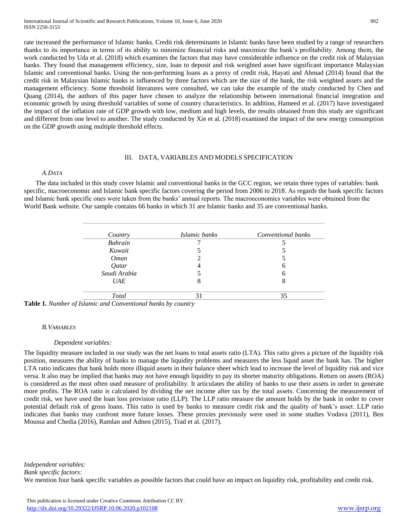rate increased the performance of Islamic banks. Credit risk determinants in Islamic banks have been studied by a range of researchers thanks to its importance in terms of its ability to minimize financial risks and maximize the bank's profitability. Among them, the work conducted by Uda et al. (2018) which examines the factors that may have considerable influence on the credit risk of Malaysian banks. They found that management efficiency, size, loan to deposit and risk weighted asset have significant importance Malaysian Islamic and conventional banks. Using the non-performing loans as a proxy of credit risk, Hayati and Ahmad (2014) found that the credit risk in Malaysian Islamic banks is influenced by three factors which are the size of the bank, the risk weighted assets and the management efficiency. Some threshold literatures were consulted, we can take the example of the study conducted by Chen and Quang (2014), the authors of this paper have chosen to analyze the relationship between international financial integration and economic growth by using threshold variables of some of country characteristics. In addition, Hameed et al. (2017) have investigated the impact of the inflation rate of GDP growth with low, medium and high levels, the results obtained from this study are significant and different from one level to another. The study conducted by Xie et al. (2018) examined the impact of the new energy consumption on the GDP growth using multiple threshold effects.

#### III. DATA, VARIABLES AND MODELS SPECIFICATION

## *A.DATA*

 The data included in this study cover Islamic and conventional banks in the GCC region, we retain three types of variables: bank specific, macroeconomic and Islamic bank specific factors covering the period from 2006 to 2018. As regards the bank specific factors and Islamic bank specific ones were taken from the banks' annual reports. The macroeconomics variables were obtained from the World Bank website. Our sample contains 66 banks in which 31 are Islamic banks and 35 are conventional banks.

| Country      | Islamic banks | Conventional banks |
|--------------|---------------|--------------------|
| Bahrain      |               |                    |
| Kuwait       |               |                    |
| <i>Oman</i>  |               |                    |
| Qatar        |               | h                  |
| Saudi Arabia |               | h                  |
| <b>UAE</b>   | 8             | 8                  |
| Total        | 31            | 35                 |

**Table 1.** *Number of Islamic and Conventional banks by country*

#### *B.VARIABLES*

#### *Dependent variables:*

The liquidity measure included in our study was the net loans to total assets ratio (LTA). This ratio gives a picture of the liquidity risk position, measures the ability of banks to manage the liquidity problems and measures the less liquid asset the bank has. The higher LTA ratio indicates that bank holds more illiquid assets in their balance sheet which lead to increase the level of liquidity risk and vice versa. It also may be implied that banks may not have enough liquidity to pay its shorter maturity obligations. Return on assets (ROA) is considered as the most often used measure of profitability. It articulates the ability of banks to use their assets in order to generate more profits. The ROA ratio is calculated by dividing the net income after tax by the total assets. Concerning the measurement of credit risk, we have used the loan loss provision ratio (LLP). The LLP ratio measure the amount holds by the bank in order to cover potential default risk of gross loans. This ratio is used by banks to measure credit risk and the quality of bank's asset. LLP ratio indicates that banks may confront more future losses. These proxies previously were used in some studies Vodava (2011), Ben Moussa and Chedia (2016), Ramlan and Adnen (2015), Trad et al. (2017).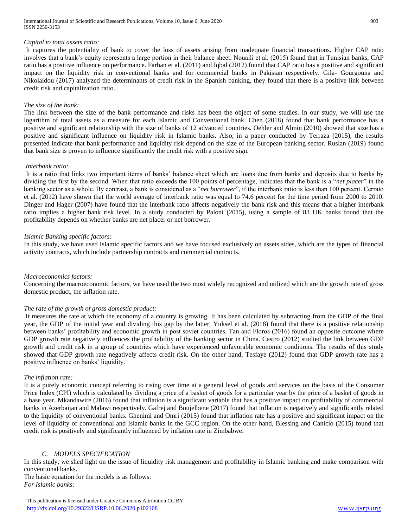#### *Capital to total assets ratio:*

It captures the potentiality of bank to cover the loss of assets arising from inadequate financial transactions. Higher CAP ratio involves that a bank's equity represents a large portion in their balance sheet. Nouaili et al. (2015) found that in Tunisian banks, CAP ratio has a positive influence on performance. Farhan et al. (2011) and Iqbal (2012) found that CAP ratio has a positive and significant impact on the liquidity risk in conventional banks and for commercial banks in Pakistan respectively. Gila- Gourgouna and Nikolaidou (2017) analyzed the determinants of credit risk in the Spanish banking, they found that there is a positive link between credit risk and capitalization ratio.

#### *The size of the bank:*

The link between the size of the bank performance and risks has been the object of some studies. In our study, we will use the logarithm of total assets as a measure for each Islamic and Conventional bank. Chen (2018) found that bank performance has a positive and significant relationship with the size of banks of 12 advanced countries. Oehler and Almin (2010) showed that size has a positive and significant influence on liquidity risk in Islamic banks. Also, in a paper conducted by Terraza (2015), the results presented indicate that bank performance and liquidity risk depend on the size of the European banking sector. Ruslan (2019) found that bank size is proven to influence significantly the credit risk with a positive sign.

#### *Interbank ratio:*

It is a ratio that links two important items of banks' balance sheet which are loans due from banks and deposits due to banks by dividing the first by the second. When that ratio exceeds the 100 points of percentage, indicates that the bank is a "*net placer*" in the banking sector as a whole. By contrast, a bank is considered as a "*net borrower*", if the interbank ratio is less than 100 percent. Cerrato et al. (2012) have shown that the world average of interbank ratio was equal to 74.6 percent for the time period from 2000 to 2010. Dinger and Hager (2007) have found that the interbank ratio affects negatively the bank risk and this means that a higher interbank ratio implies a higher bank risk level. In a study conducted by Paloni (2015), using a sample of 83 UK banks found that the profitability depends on whether banks are net placer or net borrower.

#### *Islamic Banking specific factors:*

In this study, we have used Islamic specific factors and we have focused exclusively on assets sides, which are the types of financial activity contracts, which include partnership contracts and commercial contracts.

#### *Macroeconomics factors:*

Concerning the macroeconomic factors, we have used the two most widely recognized and utilized which are the growth rate of gross domestic product, the inflation rate.

#### *The rate of the growth of gross domestic product:*

It measures the rate at which the economy of a country is growing. It has been calculated by subtracting from the GDP of the final year, the GDP of the initial year and dividing this gap by the latter. Yuksel et al. (2018) found that there is a positive relationship between banks' profitability and economic growth in post soviet countries. Tan and Floros (2016) found an opposite outcome where GDP growth rate negatively influences the profitability of the banking sector in China. Castro (2012) studied the link between GDP growth and credit risk in a group of countries which have experienced unfavorable economic conditions. The results of this study showed that GDP growth rate negatively affects credit risk. On the other hand, Tesfaye (2012) found that GDP growth rate has a positive influence on banks' liquidity.

#### *The inflation rate:*

It is a purely economic concept referring to rising over time at a general level of goods and services on the basis of the Consumer Price Index (CPI) which is calculated by dividing a price of a basket of goods for a particular year by the price of a basket of goods in a base year. Mkandawire (2016) found that inflation is a significant variable that has a positive impact on profitability of commercial banks in Azerbaijan and Malawi respectively. Gafrej and Boujelbene (2017) found that inflation is negatively and significantly related to the liquidity of conventional banks. Ghenimi and Omri (2015) found that inflation rate has a positive and significant impact on the level of liquidity of conventional and Islamic banks in the GCC region. On the other hand, Blessing and Canicio (2015) found that credit risk is positively and significantly influenced by inflation rate in Zimbabwe.

## *C. MODELS SPECIFICATION*

In this study, we shed light on the issue of liquidity risk management and profitability in Islamic banking and make comparison with conventional banks.

The basic equation for the models is as follows: *For Islamic banks:*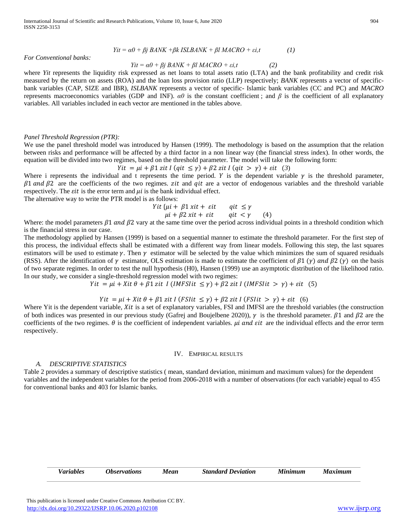$$
Yit = \alpha 0 + \beta j \, BANK + \beta k \, ISLBANK + \beta l \, MACRO + \varepsilon i, t \tag{1}
$$

#### *For Conventional banks:*

#### $Yit = \alpha \theta + \beta j \, BANK + \beta l \, MACRO + \varepsilon i, t$  (2)

where *Yit* represents the liquidity risk expressed as net loans to total assets ratio (LTA) and the bank profitability and credit risk measured by the return on assets (ROA) and the loan loss provision ratio (LLP) respectively; *BANK* represents a vector of specificbank variables (CAP, SIZE and IBR), *ISLBANK* represents a vector of specific- Islamic bank variables (CC and PC) and *MACRO*  represents macroeconomics variables (GDP and INF). *α0* is the constant coefficient ; and *β* is the coefficient of all explanatory variables. All variables included in each vector are mentioned in the tables above.

#### *Panel Threshold Regression (PTR):*

We use the panel threshold model was introduced by Hansen (1999). The methodology is based on the assumption that the relation between risks and performance will be affected by a third factor in a non linear way (the financial stress index). In other words, the equation will be divided into two regimes, based on the threshold parameter. The model will take the following form:

$$
Yit = \mu i + \beta 1 zit I (qit \le \gamma) + \beta 2 zit I (qit > \gamma) + \varepsilon it (3)
$$

Where i represents the individual and t represents the time period.  $Y$  is the dependent variable  $\gamma$  is the threshold parameter,  $\beta$ 1 and  $\beta$ 2 are the coefficients of the two regimes. *zit* and *qit* are a vector of endogenous variables and the threshold variable respectively. The *it* is the error term and  $\mu i$  is the bank individual effect.

The alternative way to write the PTR model is as follows:

Yit { $\mu$ i +  $\beta$ 1 xit +  $\varepsilon$ it qit  $\leq \gamma$  $\mu i + \beta 2 \, x i t + \varepsilon i t$  qit  $\langle \gamma \rangle$  (4)

Where: the model parameters  $\beta 1$  and  $\beta 2$  vary at the same time over the period across individual points in a threshold condition which is the financial stress in our case.

The methodology applied by Hansen (1999) is based on a sequential manner to estimate the threshold parameter. For the first step of this process, the individual effects shall be estimated with a different way from linear models. Following this step, the last squares estimators will be used to estimate  $\gamma$ . Then  $\gamma$  estimator will be selected by the value which minimizes the sum of squared residuals (RSS). After the identification of  $\gamma$  estimator, OLS estimation is made to estimate the coefficient of  $\beta$ 1 ( $\gamma$ ) and  $\beta$ 2 ( $\gamma$ ) on the basis of two separate regimes. In order to test the null hypothesis (H0), Hansen (1999) use an asymptotic distribution of the likelihood ratio. In our study, we consider a single-threshold regression model with two regimes:

 $Yit = \mu i + Xit \theta + \beta 1$  zit  $I$  (IMFSI $it \leq \gamma$ ) +  $\beta 2$  zit I (IMFSI $it > \gamma$ ) +  $\epsilon$ it (5)

## $Yit = \mu i + Xit \theta + \beta 1$  zit I (FSIit  $\leq \gamma$ ) +  $\beta 2$  zit I (FSIit  $> \gamma$ ) +  $\epsilon$ it (6)

Where Yit is the dependent variable,  $Xit$  is a set of explanatory variables, FSI and IMFSI are the threshold variables (the construction of both indices was presented in our previous study (Gafrej and Boujelbene 2020)),  $\gamma$  is the threshold parameter.  $\beta$ 1 and  $\beta$ 2 are the coefficients of the two regimes.  $\theta$  is the coefficient of independent variables. *ui and sit* are the individual effects and the error term respectively.

#### IV. EMPIRICAL RESULTS

#### *A. DESCRIPTIVE STATISTICS*

Table 2 provides a summary of descriptive statistics ( mean, standard deviation, minimum and maximum values) for the dependent variables and the independent variables for the period from 2006-2018 with a number of observations (for each variable) equal to 455 for conventional banks and 403 for Islamic banks.

| <i><b>Observations</b></i><br>Minimum<br><b>Maximum</b><br><b>Standard Deviation</b><br>Mean<br><i>Variables</i> |  |
|------------------------------------------------------------------------------------------------------------------|--|
|------------------------------------------------------------------------------------------------------------------|--|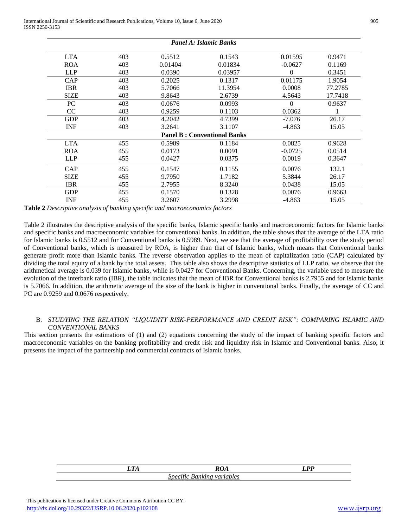INF 455 3.2607 3.2998 **Table 2** *Descriptive analysis of banking specific and macroeconomics factors*

Table 2 illustrates the descriptive analysis of the specific banks, Islamic specific banks and macroeconomic factors for Islamic banks and specific banks and macroeconomic variables for conventional banks. In addition, the table shows that the average of the LTA ratio for Islamic banks is 0.5512 and for Conventional banks is 0.5989. Next, we see that the average of profitability over the study period of Conventional banks, which is measured by ROA, is higher than that of Islamic banks, which means that Conventional banks generate profit more than Islamic banks. The reverse observation applies to the mean of capitalization ratio (CAP) calculated by dividing the total equity of a bank by the total assets. This table also shows the descriptive statistics of LLP ratio, we observe that the arithmetical average is 0.039 for Islamic banks, while is 0.0427 for Conventional Banks. Concerning, the variable used to measure the

## evolution of the interbank ratio (IBR), the table indicates that the mean of IBR for Conventional banks is 2.7955 and for Islamic banks is 5.7066. In addition, the arithmetic average of the size of the bank is higher in conventional banks. Finally, the average of CC and PC are 0.9259 and 0.0676 respectively.

## B. *STUDYING THE RELATION "LIQUIDITY RISK-PERFORMANCE AND CREDIT RISK": COMPARING ISLAMIC AND CONVENTIONAL BANKS*

This section presents the estimations of (1) and (2) equations concerning the study of the impact of banking specific factors and macroeconomic variables on the banking profitability and credit risk and liquidity risk in Islamic and Conventional banks. Also, it presents the impact of the partnership and commercial contracts of Islamic banks.

| חי | <b>ROA</b>                                             | $T$ DD |
|----|--------------------------------------------------------|--------|
|    | <i>Specific</i><br>$\boldsymbol{\nu}$ and<br>variables |        |

 $402$ 

LTA

| LIA           | 40J | $0.331\angle$ | V.1945                             | <b>0.01595</b> | V. 947 L |
|---------------|-----|---------------|------------------------------------|----------------|----------|
| <b>ROA</b>    | 403 | 0.01404       | 0.01834                            | $-0.0627$      | 0.1169   |
| <b>LLP</b>    | 403 | 0.0390        | 0.03957                            | 0              | 0.3451   |
| CAP           | 403 | 0.2025        | 0.1317                             | 0.01175        | 1.9054   |
| <b>IBR</b>    | 403 | 5.7066        | 11.3954                            | 0.0008         | 77.2785  |
| <b>SIZE</b>   | 403 | 9.8643        | 2.6739                             | 4.5643         | 17.7418  |
| PC            | 403 | 0.0676        | 0.0993                             | $\Omega$       | 0.9637   |
| <sub>CC</sub> | 403 | 0.9259        | 0.1103                             | 0.0362         | 1        |
| <b>GDP</b>    | 403 | 4.2042        | 4.7399                             | $-7.076$       | 26.17    |
| <b>INF</b>    | 403 | 3.2641        | 3.1107                             | $-4.863$       | 15.05    |
|               |     |               | <b>Panel B: Conventional Banks</b> |                |          |
| <b>LTA</b>    | 455 | 0.5989        | 0.1184                             | 0.0825         | 0.9628   |
| <b>ROA</b>    | 455 | 0.0173        | 0.0091                             | $-0.0725$      | 0.0514   |
| <b>LLP</b>    | 455 | 0.0427        | 0.0375                             | 0.0019         | 0.3647   |
| CAP           | 455 | 0.1547        | 0.1155                             | 0.0076         | 132.1    |
| <b>SIZE</b>   | 455 | 9.7950        | 1.7182                             | 5.3844         | 26.17    |
| <b>IBR</b>    | 455 | 2.7955        | 8.3240                             | 0.0438         | 15.05    |
| <b>GDP</b>    | 455 | 0.1570        | 0.1328                             | 0.0076         | 0.9663   |
| <b>INF</b>    |     |               | 3.2998                             |                | 15.05    |

*Panel A: Islamic Banks*

 $0.1542$ 

 $0.01505$ 

 $0.5512$ 

 $0.0471$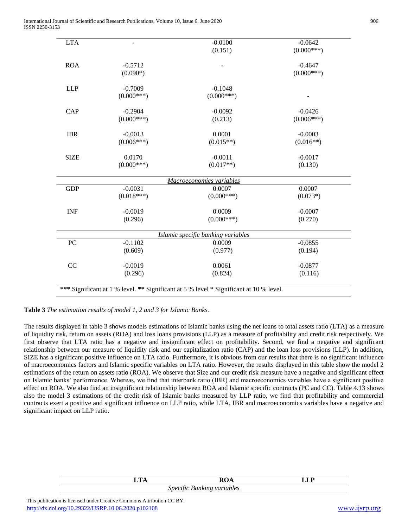| <b>LTA</b>  |              | $-0.0100$                                                                              | $-0.0642$    |
|-------------|--------------|----------------------------------------------------------------------------------------|--------------|
|             |              | (0.151)                                                                                | $(0.000***)$ |
|             |              |                                                                                        |              |
| <b>ROA</b>  | $-0.5712$    |                                                                                        | $-0.4647$    |
|             | $(0.090*)$   |                                                                                        | $(0.000***)$ |
|             |              |                                                                                        |              |
| <b>LLP</b>  | $-0.7009$    | $-0.1048$                                                                              |              |
|             | $(0.000***)$ | $(0.000***)$                                                                           |              |
| CAP         | $-0.2904$    | $-0.0092$                                                                              | $-0.0426$    |
|             | $(0.000***)$ | (0.213)                                                                                | $(0.006***)$ |
|             |              |                                                                                        |              |
| <b>IBR</b>  | $-0.0013$    | 0.0001                                                                                 | $-0.0003$    |
|             | $(0.006***)$ | $(0.015**)$                                                                            | $(0.016**)$  |
| <b>SIZE</b> | 0.0170       | $-0.0011$                                                                              | $-0.0017$    |
|             | $(0.000***)$ | $(0.017**)$                                                                            | (0.130)      |
|             |              |                                                                                        |              |
|             |              | Macroeconomics variables                                                               |              |
| <b>GDP</b>  | $-0.0031$    | 0.0007                                                                                 | 0.0007       |
|             | $(0.018***)$ | $(0.000***)$                                                                           | $(0.073*)$   |
| <b>INF</b>  | $-0.0019$    | 0.0009                                                                                 | $-0.0007$    |
|             | (0.296)      | $(0.000***)$                                                                           | (0.270)      |
|             |              |                                                                                        |              |
|             |              | Islamic specific banking variables                                                     |              |
| PC          | $-0.1102$    | 0.0009                                                                                 | $-0.0855$    |
|             | (0.609)      | (0.977)                                                                                | (0.194)      |
| CC          | $-0.0019$    | 0.0061                                                                                 | $-0.0877$    |
|             |              |                                                                                        |              |
|             | (0.296)      | (0.824)                                                                                | (0.116)      |
|             |              | *** Significant at 1 % level. ** Significant at 5 % level * Significant at 10 % level. |              |
|             |              |                                                                                        |              |

## **Table 3** *The estimation results of model 1, 2 and 3 for Islamic Banks.*

The results displayed in table 3 shows models estimations of Islamic banks using the net loans to total assets ratio (LTA) as a measure of liquidity risk, return on assets (ROA) and loss loans provisions (LLP) as a measure of profitability and credit risk respectively. We first observe that LTA ratio has a negative and insignificant effect on profitability. Second, we find a negative and significant relationship between our measure of liquidity risk and our capitalization ratio (CAP) and the loan loss provisions (LLP). In addition, SIZE has a significant positive influence on LTA ratio. Furthermore, it is obvious from our results that there is no significant influence of macroeconomics factors and Islamic specific variables on LTA ratio. However, the results displayed in this table show the model 2 estimations of the return on assets ratio (ROA). We observe that Size and our credit risk measure have a negative and significant effect on Islamic banks' performance. Whereas, we find that interbank ratio (IBR) and macroeconomics variables have a significant positive effect on ROA. We also find an insignificant relationship between ROA and Islamic specific contracts (PC and CC). Table 4.13 shows also the model 3 estimations of the credit risk of Islamic banks measured by LLP ratio, we find that profitability and commercial contracts exert a positive and significant influence on LLP ratio, while LTA, IBR and macroeconomics variables have a negative and significant impact on LLP ratio.

 This publication is licensed under Creative Commons Attribution CC BY. <http://dx.doi.org/10.29322/IJSRP.10.06.2020.p102108> [www.ijsrp.org](http://ijsrp.org/)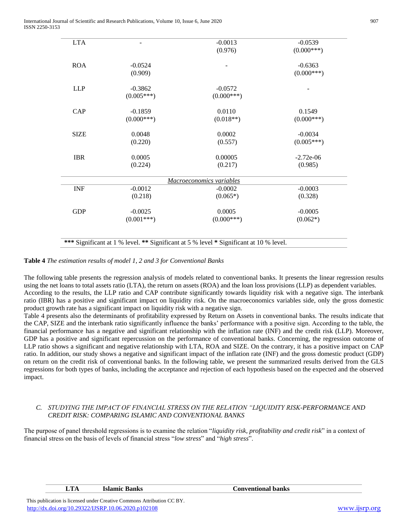International Journal of Scientific and Research Publications, Volume 10, Issue 6, June 2020 907 ISSN 2250-3153

| <b>LTA</b>  |              | $-0.0013$                                                                              | $-0.0539$    |
|-------------|--------------|----------------------------------------------------------------------------------------|--------------|
|             |              | (0.976)                                                                                | $(0.000***)$ |
| <b>ROA</b>  | $-0.0524$    |                                                                                        | $-0.6363$    |
|             | (0.909)      |                                                                                        | $(0.000***)$ |
| <b>LLP</b>  | $-0.3862$    | $-0.0572$                                                                              |              |
|             | $(0.005***)$ | $(0.000***)$                                                                           |              |
| CAP         | $-0.1859$    | 0.0110                                                                                 | 0.1549       |
|             | $(0.000***)$ | $(0.018**)$                                                                            | $(0.000***)$ |
| <b>SIZE</b> | 0.0048       | 0.0002                                                                                 | $-0.0034$    |
|             | (0.220)      | (0.557)                                                                                | $(0.005***)$ |
| <b>IBR</b>  | 0.0005       | 0.00005                                                                                | $-2.72e-06$  |
|             | (0.224)      | (0.217)                                                                                | (0.985)      |
|             |              | Macroeconomics variables                                                               |              |
| <b>INF</b>  | $-0.0012$    | $-0.0002$                                                                              | $-0.0003$    |
|             | (0.218)      | $(0.065*)$                                                                             | (0.328)      |
| <b>GDP</b>  | $-0.0025$    | 0.0005                                                                                 | $-0.0005$    |
|             | $(0.001***)$ | $(0.000***)$                                                                           | $(0.062*)$   |
|             |              |                                                                                        |              |
|             |              | *** Significant at 1 % level. ** Significant at 5 % level * Significant at 10 % level. |              |

**Table 4** *The estimation results of model 1, 2 and 3 for Conventional Banks*

The following table presents the regression analysis of models related to conventional banks. It presents the linear regression results using the net loans to total assets ratio (LTA), the return on assets (ROA) and the loan loss provisions (LLP) as dependent variables. According to the results, the LLP ratio and CAP contribute significantly towards liquidity risk with a negative sign. The interbank ratio (IBR) has a positive and significant impact on liquidity risk. On the macroeconomics variables side, only the gross domestic product growth rate has a significant impact on liquidity risk with a negative sign.

Table 4 presents also the determinants of profitability expressed by Return on Assets in conventional banks. The results indicate that the CAP, SIZE and the interbank ratio significantly influence the banks' performance with a positive sign. According to the table, the financial performance has a negative and significant relationship with the inflation rate (INF) and the credit risk (LLP). Moreover, GDP has a positive and significant repercussion on the performance of conventional banks. Concerning, the regression outcome of LLP ratio shows a significant and negative relationship with LTA, ROA and SIZE. On the contrary, it has a positive impact on CAP ratio. In addition, our study shows a negative and significant impact of the inflation rate (INF) and the gross domestic product (GDP) on return on the credit risk of conventional banks. In the following table, we present the summarized results derived from the GLS regressions for both types of banks, including the acceptance and rejection of each hypothesis based on the expected and the observed impact.

## *C. STUDYING THE IMPACT OF FINANCIAL STRESS ON THE RELATION "LIQUIDITY RISK-PERFORMANCE AND CREDIT RISK: COMPARING ISLAMIC AND CONVENTIONAL BANKS*

The purpose of panel threshold regressions is to examine the relation "*liquidity risk, profitability and credit risk*" in a context of financial stress on the basis of levels of financial stress "*low stress*" and "*high stress*".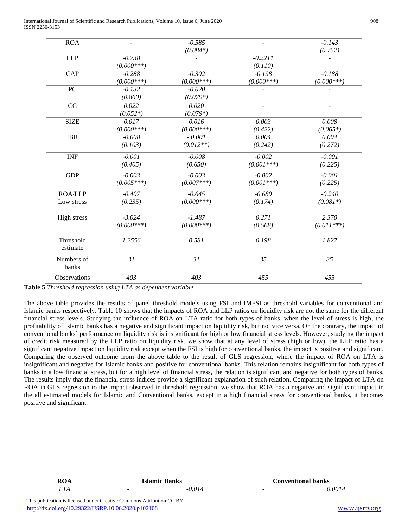International Journal of Scientific and Research Publications, Volume 10, Issue 6, June 2020 908 ISSN 2250-3153

| Observations          | 403          | 403                    | 455          | 455                 |
|-----------------------|--------------|------------------------|--------------|---------------------|
| Numbers of<br>banks   | 31           | 31                     | 35           | 35                  |
| Threshold<br>estimate | 1.2556       | 0.581                  | 0.198        | 1.827               |
|                       | $(0.000***)$ | $(0.000***)$           | (0.568)      | $(0.011***)$        |
| <b>High stress</b>    | $-3.024$     | $-1.487$               | 0.271        | 2.370               |
| Low stress            | (0.235)      | $(0.000***)$           | (0.174)      | $(0.081*)$          |
| <b>ROA/LLP</b>        | $-0.407$     | $-0.645$               | $-0.689$     | $-0.240$            |
|                       | $(0.005***)$ | $(0.007***)$           | $(0.001***)$ | (0.225)             |
| <b>GDP</b>            | $-0.003$     | $-0.003$               | $-0.002$     | $-0.001$            |
|                       | (0.405)      | (0.650)                | $(0.001***)$ | (0.225)             |
| <b>INF</b>            | $-0.001$     | $-0.008$               | $-0.002$     | $-0.001$            |
|                       | (0.103)      | $(0.012**)$            | (0.242)      | (0.272)             |
| <b>IBR</b>            | $-0.008$     | $-0.001$               | 0.004        | 0.004               |
|                       | $(0.000***)$ | $(0.000***)$           | (0.422)      | $(0.065*)$          |
| <b>SIZE</b>           | 0.017        | 0.016                  | 0.003        | 0.008               |
|                       | $(0.052*)$   | $(0.079*)$             |              |                     |
| CC                    | 0.022        | 0.020                  |              |                     |
|                       | (0.860)      | $(0.079*)$             |              |                     |
| PC                    | $-0.132$     | $-0.020$               |              |                     |
|                       | $(0.000***)$ | $(0.000***)$           | $(0.000***)$ | $(0.000***)$        |
| CAP                   | $-0.288$     | $-0.302$               | $-0.198$     | $-0.188$            |
|                       | $(0.000***)$ |                        | (0.110)      |                     |
| <b>LLP</b>            | $-0.738$     |                        | $-0.2211$    |                     |
| <b>ROA</b>            |              | $-0.585$<br>$(0.084*)$ |              | $-0.143$<br>(0.752) |

**Table 5** *Threshold regression using LTA as dependent variable*

The above table provides the results of panel threshold models using FSI and IMFSI as threshold variables for conventional and Islamic banks respectively. Table 10 shows that the impacts of ROA and LLP ratios on liquidity risk are not the same for the different financial stress levels. Studying the influence of ROA on LTA ratio for both types of banks, when the level of stress is high, the profitability of Islamic banks has a negative and significant impact on liquidity risk, but not vice versa. On the contrary, the impact of conventional banks' performance on liquidity risk is insignificant for high or low financial stress levels. However, studying the impact of credit risk measured by the LLP ratio on liquidity risk, we show that at any level of stress (high or low), the LLP ratio has a significant negative impact on liquidity risk except when the FSI is high for conventional banks, the impact is positive and significant. Comparing the observed outcome from the above table to the result of GLS regression, where the impact of ROA on LTA is insignificant and negative for Islamic banks and positive for conventional banks. This relation remains insignificant for both types of banks in a low financial stress, but for a high level of financial stress, the relation is significant and negative for both types of banks. The results imply that the financial stress indices provide a significant explanation of such relation. Comparing the impact of LTA on ROA in GLS regression to the impact observed in threshold regression, we show that ROA has a negative and significant impact in the all estimated models for Islamic and Conventional banks, except in a high financial stress for conventional banks, it becomes positive and significant.

| - |  | - |  |
|---|--|---|--|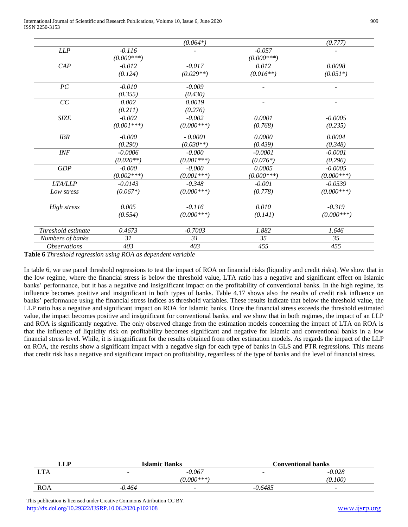International Journal of Scientific and Research Publications, Volume 10, Issue 6, June 2020 909 ISSN 2250-3153

|                             |              | $(0.064*)$   |              | (0.777)      |
|-----------------------------|--------------|--------------|--------------|--------------|
| LLP                         | $-0.116$     |              | $-0.057$     |              |
|                             | $(0.000***)$ |              | $(0.000***)$ |              |
| CAP                         | $-0.012$     | $-0.017$     | 0.012        | 0.0098       |
|                             | (0.124)      | $(0.029**)$  | $(0.016**)$  | $(0.051*)$   |
| PC                          | $-0.010$     | $-0.009$     |              |              |
|                             | (0.355)      | (0.430)      |              |              |
| CC                          | 0.002        | 0.0019       |              |              |
|                             | (0.211)      | (0.276)      |              |              |
| <b>SIZE</b>                 | $-0.002$     | $-0.002$     | 0.0001       | $-0.0005$    |
|                             | $(0.001***)$ | $(0.000***)$ | (0.768)      | (0.235)      |
| <b>IBR</b>                  | $-0.000$     | $-0.0001$    | 0.0000       | 0.0004       |
|                             | (0.290)      | $(0.030**)$  | (0.439)      | (0.348)      |
| $\ensuremath{\textit{INF}}$ | $-0.0006$    | $-0.000$     | $-0.0001$    | $-0.0001$    |
|                             | $(0.020**)$  | $(0.001***)$ | $(0.076*)$   | (0.296)      |
| GDP                         | $-0.000$     | $-0.000$     | 0.0005       | $-0.0005$    |
|                             | $(0.002***)$ | $(0.001***)$ | $(0.000***)$ | $(0.000***)$ |
| <b>LTA/LLP</b>              | $-0.0143$    | $-0.348$     | $-0.001$     | $-0.0539$    |
| Low stress                  | $(0.067*)$   | $(0.000***)$ | (0.778)      | $(0.000***)$ |
| High stress                 | 0.005        | $-0.116$     | 0.010        | $-0.319$     |
|                             | (0.554)      | $(0.000***)$ | (0.141)      | $(0.000***)$ |
| Threshold estimate          | 0.4673       | $-0.7003$    | 1.882        | 1.646        |
| Numbers of banks            | 31           | 31           | 35           | 35           |
| <b>Observations</b>         | 403          | 403          | 455          | 455          |
|                             |              |              |              |              |

**Table 6** *Threshold regression using ROA as dependent variable*

In table 6, we use panel threshold regressions to test the impact of ROA on financial risks (liquidity and credit risks). We show that in the low regime, where the financial stress is below the threshold value, LTA ratio has a negative and significant effect on Islamic banks' performance, but it has a negative and insignificant impact on the profitability of conventional banks. In the high regime, its influence becomes positive and insignificant in both types of banks. Table 4.17 shows also the results of credit risk influence on banks' performance using the financial stress indices as threshold variables. These results indicate that below the threshold value, the LLP ratio has a negative and significant impact on ROA for Islamic banks. Once the financial stress exceeds the threshold estimated value, the impact becomes positive and insignificant for conventional banks, and we show that in both regimes, the impact of an LLP and ROA is significantly negative. The only observed change from the estimation models concerning the impact of LTA on ROA is that the influence of liquidity risk on profitability becomes significant and negative for Islamic and conventional banks in a low financial stress level. While, it is insignificant for the results obtained from other estimation models. As regards the impact of the LLP on ROA, the results show a significant impact with a negative sign for each type of banks in GLS and PTR regressions. This means that credit risk has a negative and significant impact on profitability, regardless of the type of banks and the level of financial stress.

| LLP        | <b>Islamic Banks</b>     |                          |                          | <b>Conventional banks</b> |
|------------|--------------------------|--------------------------|--------------------------|---------------------------|
| <b>TA</b>  | $\overline{\phantom{0}}$ | $-0.067$                 | $\overline{\phantom{0}}$ | $-0.028$                  |
|            |                          | $(0.000***)$             |                          | (0.100)                   |
| <b>ROA</b> | $-0.464$                 | $\overline{\phantom{0}}$ | $-0.6485$                | $\overline{\phantom{0}}$  |

 This publication is licensed under Creative Commons Attribution CC BY. <http://dx.doi.org/10.29322/IJSRP.10.06.2020.p102108> [www.ijsrp.org](http://ijsrp.org/)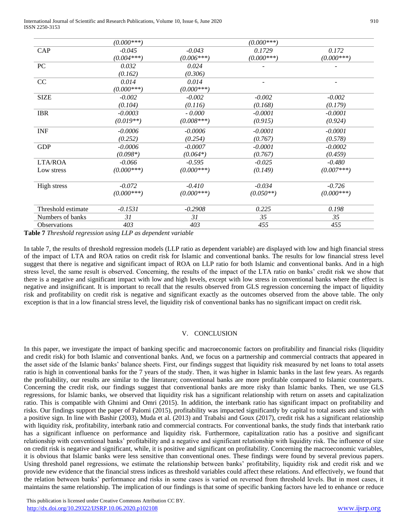International Journal of Scientific and Research Publications, Volume 10, Issue 6, June 2020 910 ISSN 2250-3153

|                    | $(0.000***)$ |              | $(0.000***)$ |              |
|--------------------|--------------|--------------|--------------|--------------|
| CAP                | $-0.045$     | $-0.043$     | 0.1729       | 0.172        |
|                    | $(0.004***)$ | $(0.006***)$ | $(0.000***)$ | $(0.000***)$ |
| PC                 | 0.032        | 0.024        |              |              |
|                    | (0.162)      | (0.306)      |              |              |
| CC                 | 0.014        | 0.014        |              |              |
|                    | $(0.000***)$ | $(0.000***)$ |              |              |
| <b>SIZE</b>        | $-0.002$     | $-0.002$     | $-0.002$     | $-0.002$     |
|                    | (0.104)      | (0.116)      | (0.168)      | (0.179)      |
| <b>IBR</b>         | $-0.0003$    | $-0.000$     | $-0.0001$    | $-0.0001$    |
|                    | $(0.019**)$  | $(0.008***)$ | (0.915)      | (0.924)      |
| <b>INF</b>         | $-0.0006$    | $-0.0006$    | $-0.0001$    | $-0.0001$    |
|                    | (0.252)      | (0.254)      | (0.767)      | (0.578)      |
| <b>GDP</b>         | $-0.0006$    | $-0.0007$    | $-0.0001$    | $-0.0002$    |
|                    | $(0.098*)$   | $(0.064*)$   | (0.767)      | (0.459)      |
| LTA/ROA            | $-0.066$     | $-0.595$     | $-0.025$     | $-0.480$     |
| Low stress         | $(0.000***)$ | $(0.000***)$ | (0.149)      | $(0.007***)$ |
| High stress        | $-0.072$     | $-0.410$     | $-0.034$     | $-0.726$     |
|                    | $(0.000***)$ | $(0.000***)$ | $(0.050**)$  | $(0.000***)$ |
| Threshold estimate | $-0.1531$    | $-0.2908$    | 0.225        | 0.198        |
| Numbers of banks   | 31           | 31           | 35           | 35           |
| Observations       | 403          | 403          | 455          | 455          |

**Table 7** *Threshold regression using LLP as dependent variable*

In table 7, the results of threshold regression models (LLP ratio as dependent variable) are displayed with low and high financial stress of the impact of LTA and ROA ratios on credit risk for Islamic and conventional banks. The results for low financial stress level suggest that there is negative and significant impact of ROA on LLP ratio for both Islamic and conventional banks. And in a high stress level, the same result is observed. Concerning, the results of the impact of the LTA ratio on banks' credit risk we show that there is a negative and significant impact with low and high levels, except with low stress in conventional banks where the effect is negative and insignificant. It is important to recall that the results observed from GLS regression concerning the impact of liquidity risk and profitability on credit risk is negative and significant exactly as the outcomes observed from the above table. The only exception is that in a low financial stress level, the liquidity risk of conventional banks has no significant impact on credit risk.

#### V. CONCLUSION

In this paper, we investigate the impact of banking specific and macroeconomic factors on profitability and financial risks (liquidity and credit risk) for both Islamic and conventional banks. And, we focus on a partnership and commercial contracts that appeared in the asset side of the Islamic banks' balance sheets. First, our findings suggest that liquidity risk measured by net loans to total assets ratio is high in conventional banks for the 7 years of the study. Then, it was higher in Islamic banks in the last few years. As regards the profitability, our results are similar to the literature; conventional banks are more profitable compared to Islamic counterparts. Concerning the credit risk, our findings suggest that conventional banks are more risky than Islamic banks. Then, we use GLS regressions, for Islamic banks, we observed that liquidity risk has a significant relationship with return on assets and capitalization ratio. This is compatible with Ghnimi and Omri (2015). In addition, the interbank ratio has significant impact on profitability and risks. Our findings support the paper of Palomi (2015), profitability was impacted significantly by capital to total assets and size with a positive sign. In line with Bashir (2003), Muda et al. (2013) and Trabalsi and Goux (2017), credit risk has a significant relationship with liquidity risk, profitability, interbank ratio and commercial contracts. For conventional banks, the study finds that interbank ratio has a significant influence on performance and liquidity risk. Furthermore, capitalization ratio has a positive and significant relationship with conventional banks' profitability and a negative and significant relationship with liquidity risk. The influence of size on credit risk is negative and significant, while, it is positive and significant on profitability. Concerning the macroeconomic variables, it is obvious that Islamic banks were less sensitive than conventional ones. These findings were found by several previous papers. Using threshold panel regressions, we estimate the relationship between banks' profitability, liquidity risk and credit risk and we provide new evidence that the financial stress indices as threshold variables could affect these relations. And effectively, we found that the relation between banks' performance and risks in some cases is varied on reversed from threshold levels. But in most cases, it maintains the same relationship. The implication of our findings is that some of specific banking factors have led to enhance or reduce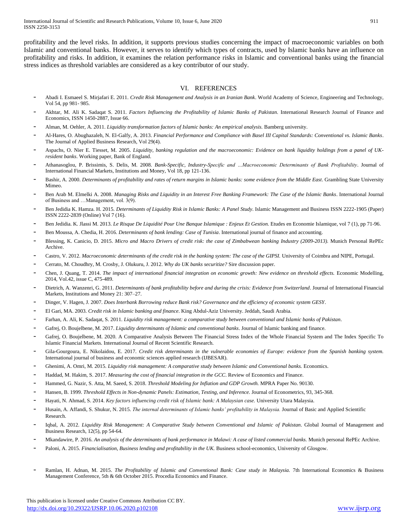profitability and the level risks. In addition, it supports previous studies concerning the impact of macroeconomic variables on both Islamic and conventional banks. However, it serves to identify which types of contracts, used by Islamic banks have an influence on profitability and risks. In addition, it examines the relation performance risks in Islamic and conventional banks using the financial stress indices as threshold variables are considered as a key contributor of our study.

## VI. REFERENCES

- Abadi I. Esmaeel S. Mirjafari E. 2011. *Credit Risk Management and Analysis in an Iranian Bank*. World Academy of Science, Engineering and Technology, Vol 54, pp 981- 985.
- Akhtar, M. Ali K. Sadaqat S. 2011. *Factors Influencing the Profitability of Islamic Banks of Pakistan*. International Research Journal of Finance and Economics, ISSN 1450-2887, Issue 66.
- Alman, M. Oehler, A. 2011. *Liquidity transformation factors of Islamic banks: An empirical analysis.* Bamberg university.
- Al-Hares, O. Abughazaleh, N. El-Galfy, A. 2013. *Financial Performance and Compliance with Basel III Capital Standards: Conventional vs. Islamic Banks*. The Journal of Applied Business Research, Vol 29(4).
- Aspachs, O. Nier E. Tiesset, M. 2005. *Liquidity, banking regulation and the macroeconomic: Evidence on bank liquidity holdings from a panel of UKresident banks*. Working paper, Bank of England.
- Athanasoglou, P. Brissimis, S. Delis, M. 2008. *Bank-Specific, Industry-Specific and …Macroeconomic Determinants of Bank Profitability*. Journal of International Financial Markets, Institutions and Money, Vol 18, pp 121-136.
- Bashir, A. 2000. *Determinants of profitability and rates of return margins in Islamic banks: some evidence from the Middle East*. Grambling State University Mimeo.
- Ben Arab M. Elmelki A. 2008. *Managing Risks and Liquidity in an Interest Free Banking Framework: The Case of the Islamic Banks*. International Journal of Business and …Management, vol. 3(9).
- Ben Jedidia K. Hamza. H. 2015. *Determinants of Liquidity Risk in Islamic Banks: A Panel Study*. Islamic Management and Business ISSN 2222-1905 (Paper) ISSN 2222-2839 (Online) Vol 7 (16).
- Ben Jedidia. K. Jlassi M. 2013. *Le Risque De Liquidité Pour Une Banque Islamique : Enjeux Et Gestion*. Etudes en Economie Islamique, vol 7 (1), pp 71-96.
- Ben Moussa, A. Chedia, H. 2016. *Determinants of bank lending: Case of Tunisia*. International journal of finance and accounting.
- Blessing, K. Canicio, D. 2015. *Micro and Macro Drivers of credit risk: the case of Zimbabwean banking Industry (2009-2013).* Munich Personal RePEc Archive.
- Castro, V. 2012. *Macroeconomic determinants of the credit risk in the banking system: The case of the GIPSI.* University of Coimbra and NIPE, Portugal.
- Cerrato, M. Choudhry, M. Crosby, J. Olukuru, J. 2012. *Why do UK banks securitize?* Sire discussion paper.
- Chen, J. Quang, T. 2014. *The impact of international financial integration on economic growth: New evidence on threshold effects.* Economic Modelling, 2014, Vol.42, issue C, 475-489.
- Dietrich, A. Wanzenri, G. 2011. *Determinants of bank profitability before and during the crisis: Evidence from Switzerland*. Journal of International Financial Markets, Institutions and Money 21: 307–27.
- Dinger, V. Hagen, J. 2007. *Does Interbank Borrowing reduce Bank risk? Governance and the efficiency of economic system GESY*.
- El Gari, MA. 2003. *Credit risk in Islamic banking and finance*. King Abdul-Aziz University. Jeddah, Saudi Arabia.
- Farhan, A. Ali, K. Sadaqat, S. 2011. *Liquidity risk management: a comparative study between conventional and Islamic banks of Pakistan*.
- Gafrej, O. Boujelbene, M. 2017. *Liquidity determinants of Islamic and conventional banks*. Journal of Islamic banking and finance.
- Gafrej, O. Boujelbene, M. 2020. A Comparative Analysis Between The Financial Stress Index of the Whole Financial System and The Index Specific To Islamic Financial Markets. International Journal of Recent Scientific Research.
- Gila-Gourgoura, E. Nikolaidou, E. 2017. *Credit risk determinants in the vulnerable economies of Europe: evidence from the Spanish banking system.* International journal of business and economic sciences applied research (IJBESAR).
- Ghenimi, A. Omri, M. 2015. *Liquidity risk management: A comparative study between Islamic and Conventional banks.* Economics.
- Haddad, M. Hakim, S. 2017. *Measuring the cost of financial integration in the GCC*. Review of Economics and Finance.
- Hammed, G. Nazir, S. Atta, M. Saeed, S. 2018. *Threshold Modeling for Inflation and GDP Growth.* MPRA Paper No. 90130.
- Hansen, B. 1999. *Threshold Effects in Non-dynamic Panels: Estimation, Testing, and Inference.* Journal of Econometrics, 93, 345-368.
- Hayati, N. Ahmad, S. 2014. *Key factors influencing credit risk of Islamic bank: A Malaysian case.* University Utara Malaysia.
- Husain, A. Affandi, S. Shukur, N. 2015. *The internal determinants of Islamic banks' profitability in Malaysia*. Journal of Basic and Applied Scientific Research.
- Iqbal, A. 2012. *Liquidity Risk Management: A Comparative Study between Conventional and Islamic of Pakistan*. Global Journal of Management and Business Research, 12(5), pp 54-64.
- Mkandawire, P. 2016. *An analysis of the determinants of bank performance in Malawi: A case of listed commercial banks.* Munich personal RePEc Archive.
- Paloni, A. 2015. *Financialisation, Business lending and profitability in the UK.* Business school-economics, University of Glosgow.
- Ramlan, H. Adnan, M. 2015. *The Profitability of Islamic and Conventional Bank: Case study in Malaysia.* 7th International Economics & Business Management Conference, 5th & 6th October 2015. Procedia Economics and Finance.